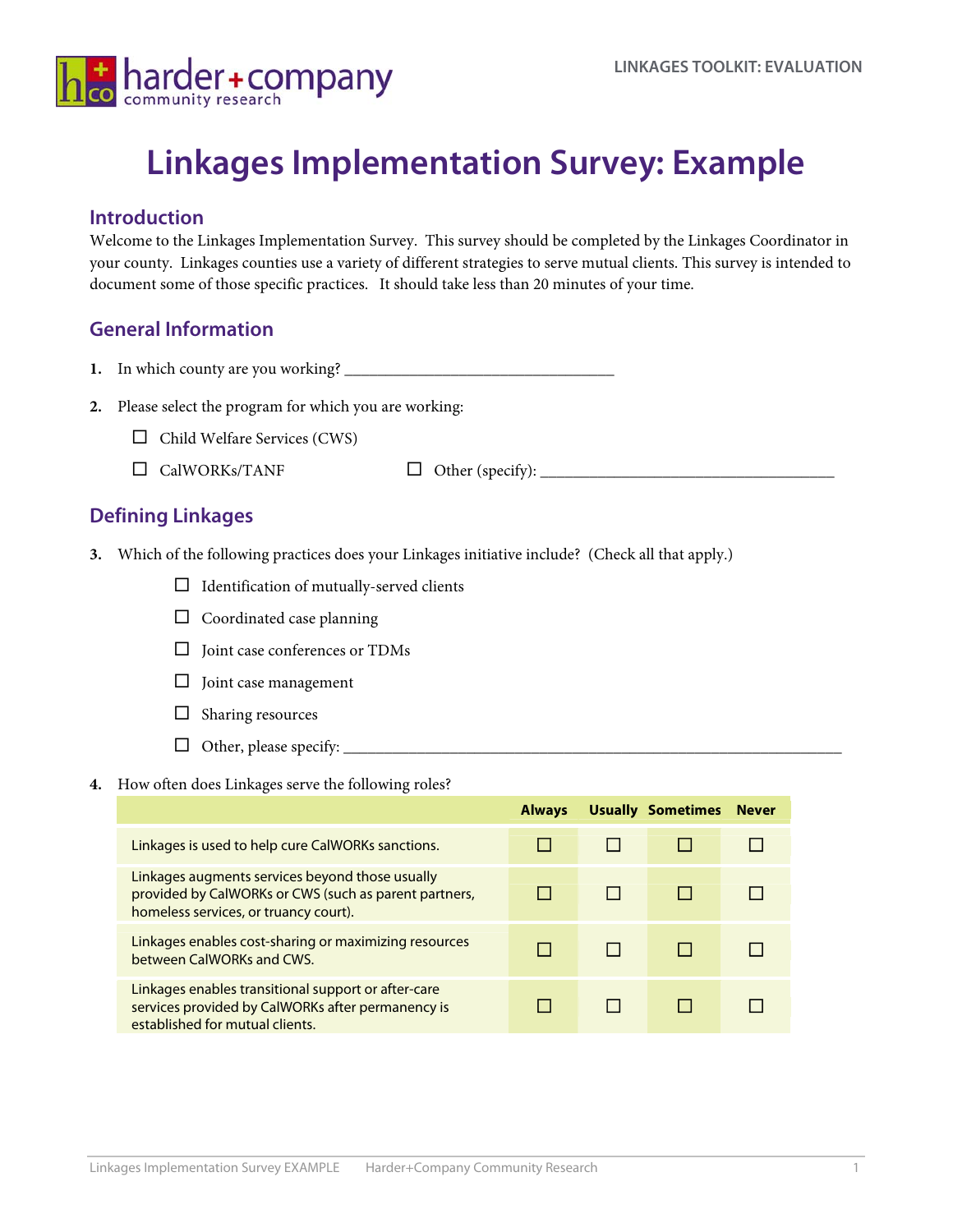

# **Linkages Implementation Survey: Example**

## **Introduction**

Welcome to the Linkages Implementation Survey. This survey should be completed by the Linkages Coordinator in your county. Linkages counties use a variety of different strategies to serve mutual clients. This survey is intended to document some of those specific practices. It should take less than 20 minutes of your time.

# **General Information**

- **1.** In which county are you working? \_\_\_\_\_\_\_\_\_\_\_\_\_\_\_\_\_\_\_\_\_\_\_\_\_\_\_\_\_\_\_\_\_
- **2.** Please select the program for which you are working:
	- $\Box$  Child Welfare Services (CWS)
	- CalWORKs/TANF Other (specify): \_\_\_\_\_\_\_\_\_\_\_\_\_\_\_\_\_\_\_\_\_\_\_\_\_\_\_\_\_\_\_\_\_\_\_\_
		-

# **Defining Linkages**

- **3.** Which of the following practices does your Linkages initiative include? (Check all that apply.)
	- $\Box$  Identification of mutually-served clients
	- $\Box$  Coordinated case planning
	- $\square$  Joint case conferences or TDMs
	- $\Box$  Joint case management
	- $\Box$  Sharing resources
	- Other, please specify: \_\_\_\_\_\_\_\_\_\_\_\_\_\_\_\_\_\_\_\_\_\_\_\_\_\_\_\_\_\_\_\_\_\_\_\_\_\_\_\_\_\_\_\_\_\_\_\_\_\_\_\_\_\_\_\_\_\_\_\_\_
- **4.** How often does Linkages serve the following roles?

|                                                                                                                                                   | <b>Always</b> | <b>Usually Sometimes</b> | <b>Never</b> |
|---------------------------------------------------------------------------------------------------------------------------------------------------|---------------|--------------------------|--------------|
| Linkages is used to help cure CalWORKs sanctions.                                                                                                 |               |                          |              |
| Linkages augments services beyond those usually<br>provided by CalWORKs or CWS (such as parent partners,<br>homeless services, or truancy court). |               |                          |              |
| Linkages enables cost-sharing or maximizing resources<br>between CalWORKs and CWS.                                                                |               |                          |              |
| Linkages enables transitional support or after-care<br>services provided by CalWORKs after permanency is<br>established for mutual clients.       |               |                          |              |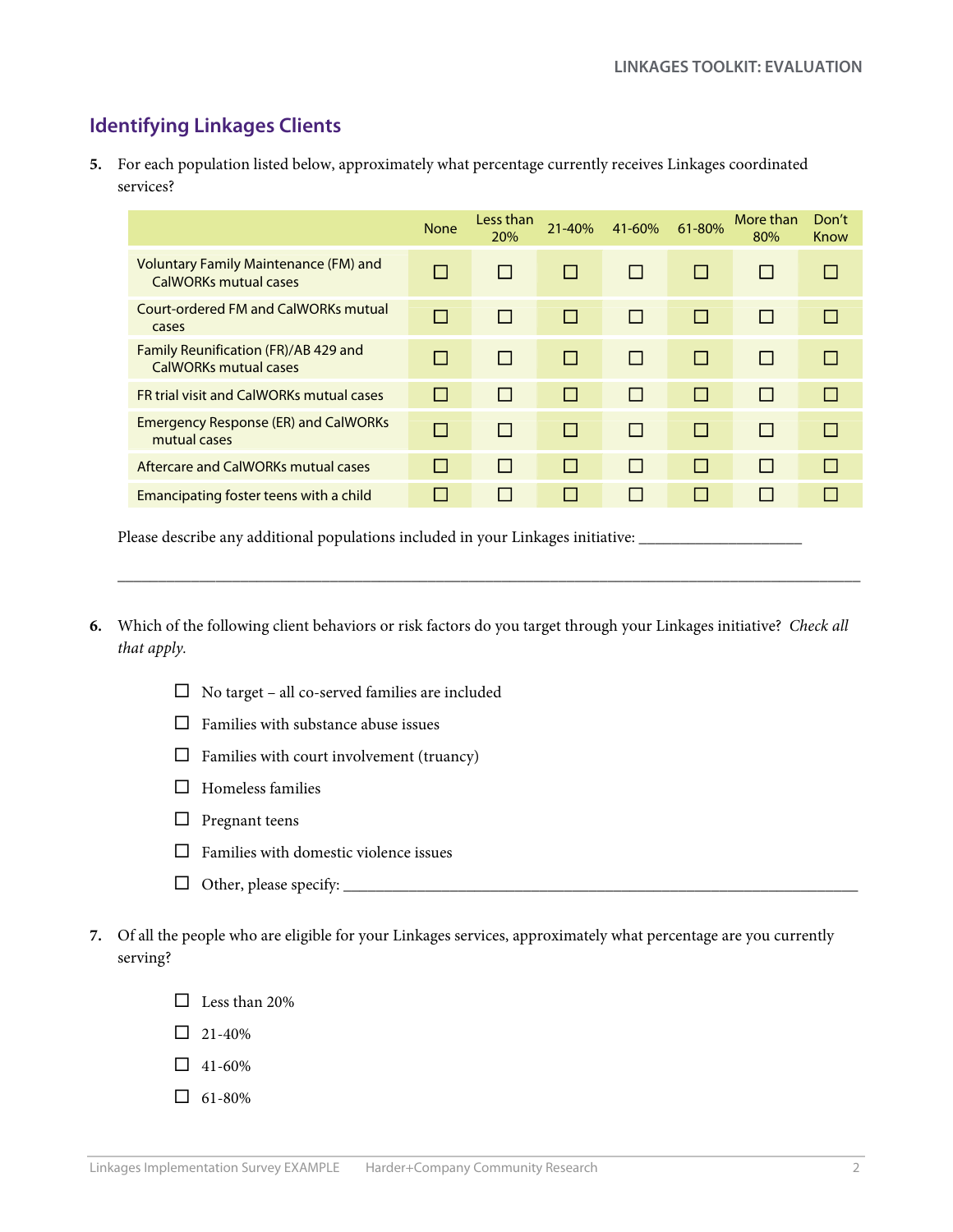# **Identifying Linkages Clients**

**5.** For each population listed below, approximately what percentage currently receives Linkages coordinated services?

|                                                                | <b>None</b>  | Less than<br>20% | 21-40% | $41 - 60%$   | 61-80%         | More than<br>80% | Don't<br>Know |
|----------------------------------------------------------------|--------------|------------------|--------|--------------|----------------|------------------|---------------|
| Voluntary Family Maintenance (FM) and<br>CalWORKs mutual cases | П            | $\mathsf{L}$     | $\Box$ | $\mathsf{L}$ | <b>T</b>       |                  | ш             |
| Court-ordered FM and CalWORKs mutual<br>cases                  | П            | П                |        | П            | П              |                  | $\Box$        |
| Family Reunification (FR)/AB 429 and<br>CalWORKs mutual cases  | П            | П                |        | П            | П              |                  | $\Box$        |
| <b>FR trial visit and CalWORKs mutual cases</b>                | П            | П                | H      | П            | П              |                  | П             |
| <b>Emergency Response (ER) and CalWORKs</b><br>mutual cases    | $\Box$       | П                |        | П            | $\mathbb{R}^n$ |                  | П             |
| Aftercare and CalWORKs mutual cases                            | $\mathsf{L}$ | $\mathbf{1}$     | H      | П            | $\perp$        | $\mathbf{I}$     | П             |
| Emancipating foster teens with a child                         | I.           | П                |        | П            | ш              |                  | $\Box$        |

Please describe any additional populations included in your Linkages initiative: \_\_\_\_\_\_\_\_\_\_\_\_\_\_\_\_\_\_\_\_\_\_\_\_\_\_\_\_\_

**6.** Which of the following client behaviors or risk factors do you target through your Linkages initiative? *Check all that apply.*

 $\mathcal{L}_\text{max}$  , and the set of the set of the set of the set of the set of the set of the set of the set of the set of the set of the set of the set of the set of the set of the set of the set of the set of the set of the

- No target all co-served families are included
- $\Box$  Families with substance abuse issues
- $\Box$  Families with court involvement (truancy)
- $\Box$  Homeless families
- $\Box$  Pregnant teens
- $\Box$  Families with domestic violence issues
- Other, please specify: \_\_\_\_\_\_\_\_\_\_\_\_\_\_\_\_\_\_\_\_\_\_\_\_\_\_\_\_\_\_\_\_\_\_\_\_\_\_\_\_\_\_\_\_\_\_\_\_\_\_\_\_\_\_\_\_\_\_\_\_\_\_\_
- **7.** Of all the people who are eligible for your Linkages services, approximately what percentage are you currently serving?
	- $\Box$  Less than 20%
	- $\Box$  21-40%
	- $\Box$  41-60%
	- $\Box$  61-80%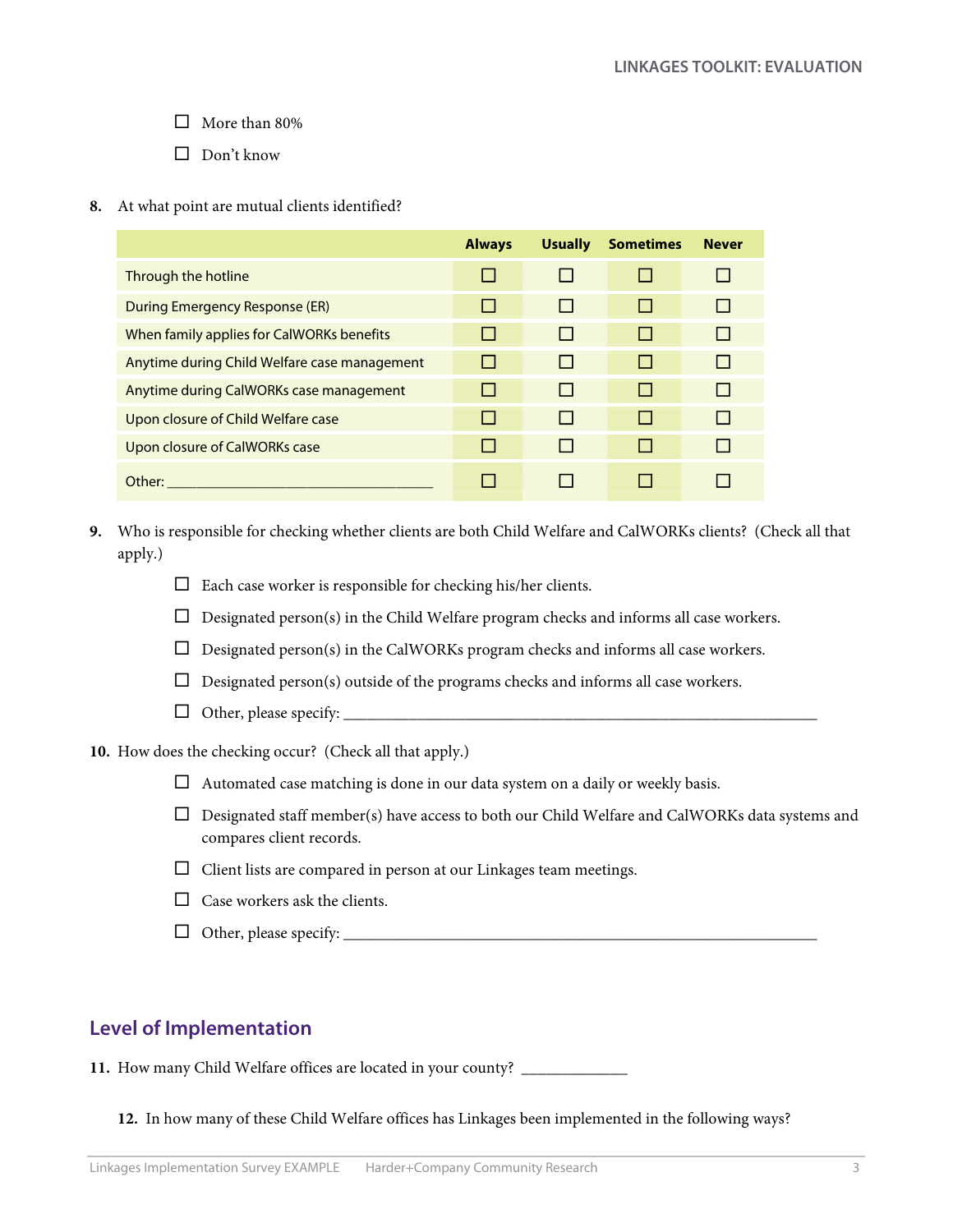$\Box$  More than 80%

 $\Box$  Don't know

**8.** At what point are mutual clients identified?

|                                              | <b>Always</b> | <b>Usually</b> | <b>Sometimes</b> | <b>Never</b> |
|----------------------------------------------|---------------|----------------|------------------|--------------|
| Through the hotline                          | H             | $\perp$        |                  | ш            |
| During Emergency Response (ER)               | $\mathbf{L}$  | $\perp$        |                  | $\mathbf{1}$ |
| When family applies for CalWORKs benefits    |               | $\perp$        |                  | $\mathbf{1}$ |
| Anytime during Child Welfare case management |               | ш              |                  | ш            |
| Anytime during CalWORKs case management      |               | ш              |                  | $\mathbf{1}$ |
| Upon closure of Child Welfare case           |               | ш              |                  | l 1          |
| Upon closure of CalWORKs case                |               | ш              |                  | l 1          |
| Other:                                       |               |                |                  |              |

- **9.** Who is responsible for checking whether clients are both Child Welfare and CalWORKs clients? (Check all that apply.)
	- $\square$  Each case worker is responsible for checking his/her clients.
	- $\Box$  Designated person(s) in the Child Welfare program checks and informs all case workers.
	- $\Box$  Designated person(s) in the CalWORKs program checks and informs all case workers.
	- $\Box$  Designated person(s) outside of the programs checks and informs all case workers.
	- Other, please specify: \_\_\_\_\_\_\_\_\_\_\_\_\_\_\_\_\_\_\_\_\_\_\_\_\_\_\_\_\_\_\_\_\_\_\_\_\_\_\_\_\_\_\_\_\_\_\_\_\_\_\_\_\_\_\_\_\_\_
- **10.** How does the checking occur? (Check all that apply.)
	- $\Box$  Automated case matching is done in our data system on a daily or weekly basis.
	- $\Box$  Designated staff member(s) have access to both our Child Welfare and CalWORKs data systems and compares client records.
	- $\Box$  Client lists are compared in person at our Linkages team meetings.
	- $\Box$  Case workers ask the clients.
	- Other, please specify: \_\_\_\_\_\_\_\_\_\_\_\_\_\_\_\_\_\_\_\_\_\_\_\_\_\_\_\_\_\_\_\_\_\_\_\_\_\_\_\_\_\_\_\_\_\_\_\_\_\_\_\_\_\_\_\_\_\_

# **Level of Implementation**

**11.** How many Child Welfare offices are located in your county? \_\_\_\_\_\_\_\_\_\_\_\_\_

**12.** In how many of these Child Welfare offices has Linkages been implemented in the following ways?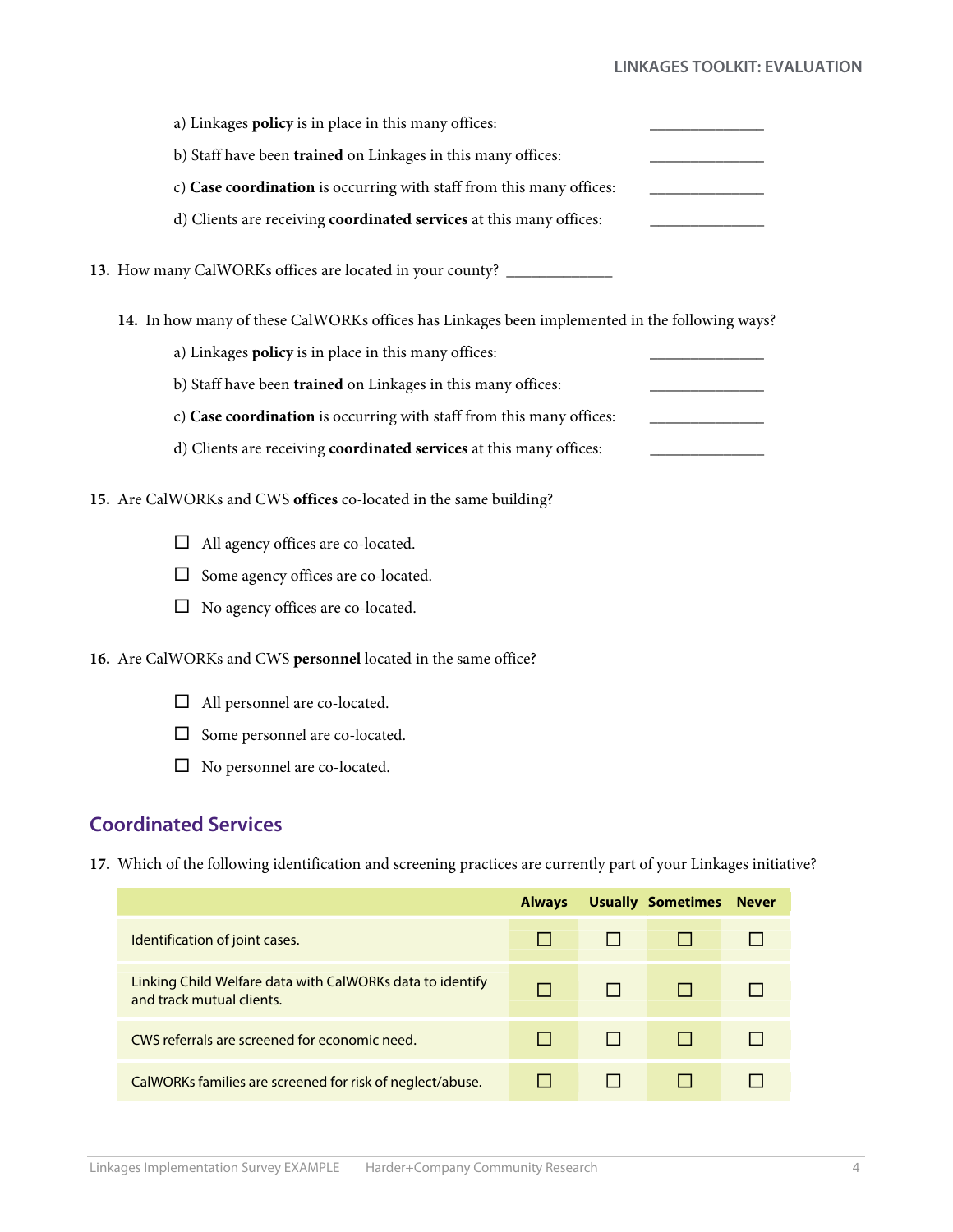### **LINKAGES TOOLKIT: EVALUATION**

| a) Linkages policy is in place in this many offices:                                           |  |
|------------------------------------------------------------------------------------------------|--|
| b) Staff have been trained on Linkages in this many offices:                                   |  |
| c) Case coordination is occurring with staff from this many offices:                           |  |
| d) Clients are receiving coordinated services at this many offices:                            |  |
| 13. How many CalWORKs offices are located in your county? ________________                     |  |
| 14. In how many of these CalWORKs offices has Linkages been implemented in the following ways? |  |
| a) Linkages policy is in place in this many offices:                                           |  |
| b) Staff have been trained on Linkages in this many offices:                                   |  |
| c) Case coordination is occurring with staff from this many offices:                           |  |
| d) Clients are receiving coordinated services at this many offices:                            |  |
| 15. Are CalWORKs and CWS offices co-located in the same building?                              |  |
| All agency offices are co-located.                                                             |  |
| Some agency offices are co-located.                                                            |  |
| No agency offices are co-located.                                                              |  |
| 16. Are CalWORKs and CWS personnel located in the same office?                                 |  |
| All personnel are co-located.                                                                  |  |

- $\Box$  Some personnel are co-located.
- No personnel are co-located.

# **Coordinated Services**

**17.** Which of the following identification and screening practices are currently part of your Linkages initiative?

|                                                                                        | <b>Always</b> | <b>Usually Sometimes</b> | <b>Never</b> |
|----------------------------------------------------------------------------------------|---------------|--------------------------|--------------|
| Identification of joint cases.                                                         |               |                          |              |
| Linking Child Welfare data with CalWORKs data to identify<br>and track mutual clients. | $\mathbf{L}$  |                          |              |
| CWS referrals are screened for economic need.                                          |               |                          |              |
| CalWORKs families are screened for risk of neglect/abuse.                              |               |                          |              |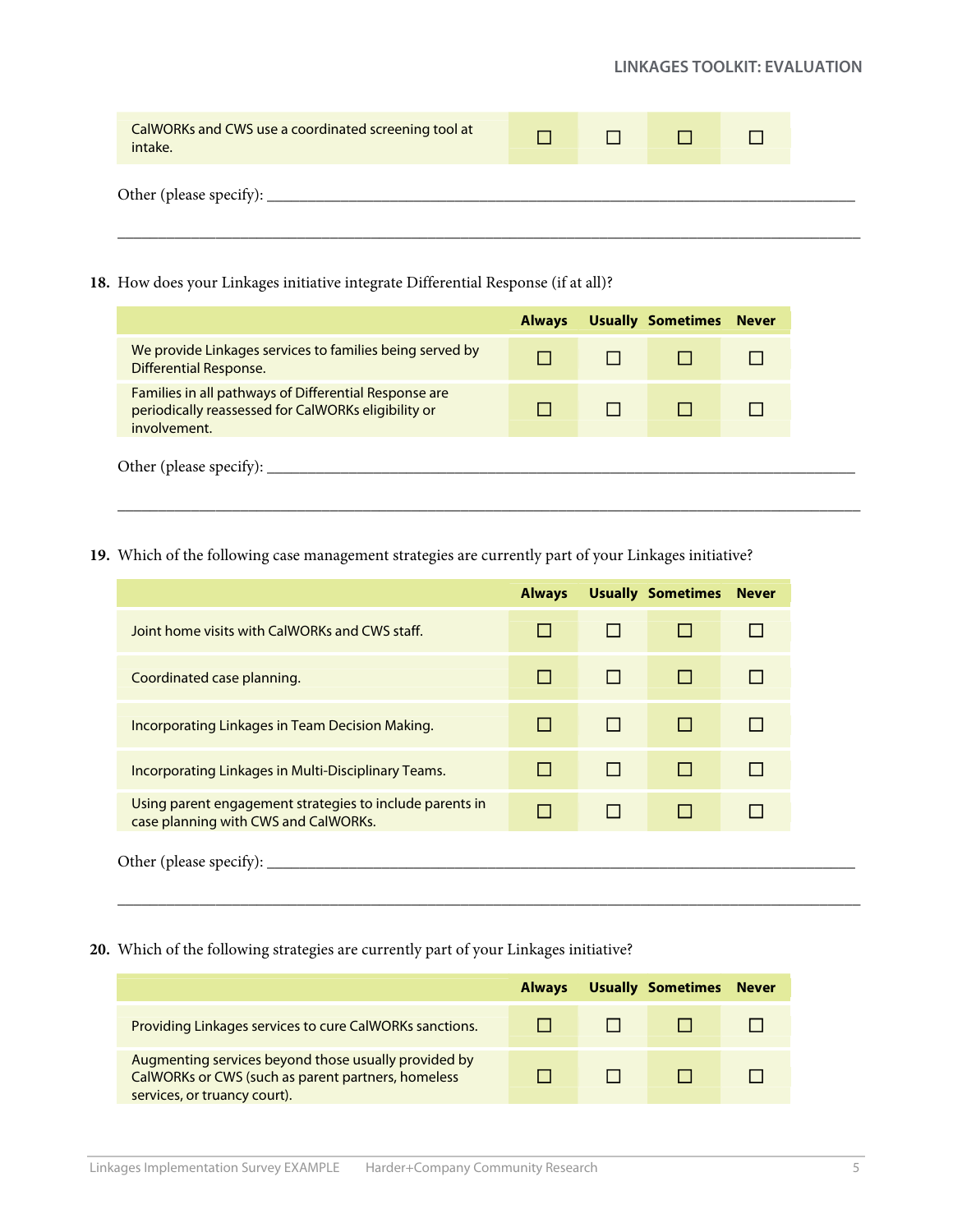#### **LINKAGES TOOLKIT: EVALUATION**

| Other (please specify): ___________ |  |  |
|-------------------------------------|--|--|

**18.** How does your Linkages initiative integrate Differential Response (if at all)?

| We provide Linkages services to families being served by<br><b>Differential Response.</b><br>Families in all pathways of Differential Response are<br>periodically reassessed for CalWORKs eligibility or |
|-----------------------------------------------------------------------------------------------------------------------------------------------------------------------------------------------------------|
|                                                                                                                                                                                                           |
| involvement.                                                                                                                                                                                              |

**19.** Which of the following case management strategies are currently part of your Linkages initiative?

|                                                                                                  | <b>Always</b> | <b>Usually Sometimes</b> | <b>Never</b> |
|--------------------------------------------------------------------------------------------------|---------------|--------------------------|--------------|
| Joint home visits with CalWORKs and CWS staff.                                                   |               |                          |              |
| Coordinated case planning.                                                                       | $\mathsf{L}$  |                          |              |
| Incorporating Linkages in Team Decision Making.                                                  |               | $\mathbf{L}$             |              |
| Incorporating Linkages in Multi-Disciplinary Teams.                                              |               |                          |              |
| Using parent engagement strategies to include parents in<br>case planning with CWS and CalWORKs. | П             | <b>Talent</b>            |              |

 $\mathcal{L}_\text{max}$  , and the set of the set of the set of the set of the set of the set of the set of the set of the set of the set of the set of the set of the set of the set of the set of the set of the set of the set of the

**20.** Which of the following strategies are currently part of your Linkages initiative?

|                                                                                                                                            | <b>Always</b> | <b>Usually Sometimes</b> | <b>Never</b> |
|--------------------------------------------------------------------------------------------------------------------------------------------|---------------|--------------------------|--------------|
| Providing Linkages services to cure CalWORKs sanctions.                                                                                    |               |                          |              |
| Augmenting services beyond those usually provided by<br>CalWORKs or CWS (such as parent partners, homeless<br>services, or truancy court). |               |                          |              |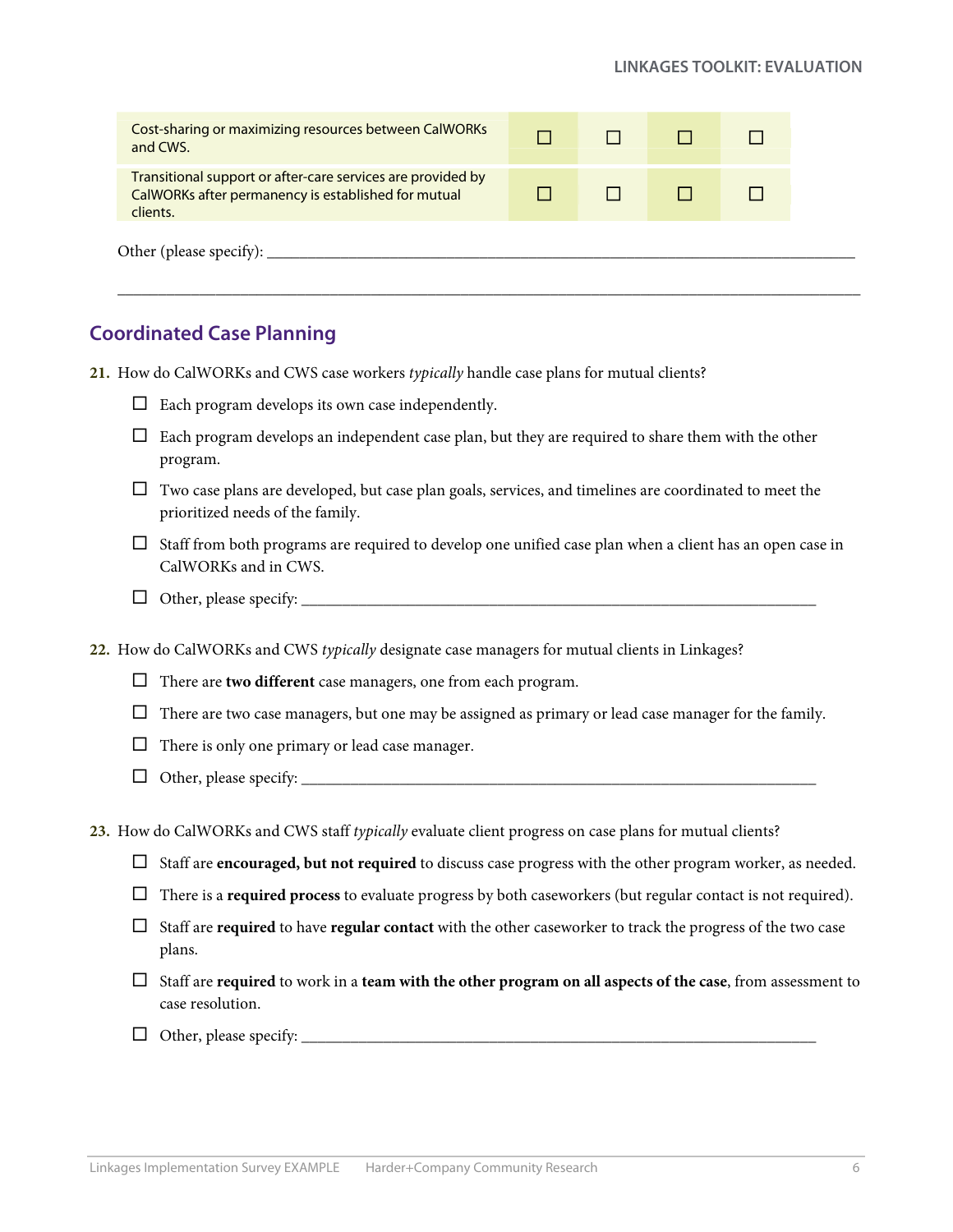# **Coordinated Case Planning**

**21.** How do CalWORKs and CWS case workers *typically* handle case plans for mutual clients?

- $\Box$  Each program develops its own case independently.
- $\Box$  Each program develops an independent case plan, but they are required to share them with the other program.
- $\Box$  Two case plans are developed, but case plan goals, services, and timelines are coordinated to meet the prioritized needs of the family.
- $\Box$  Staff from both programs are required to develop one unified case plan when a client has an open case in CalWORKs and in CWS.
- Other, please specify: \_\_\_\_\_\_\_\_\_\_\_\_\_\_\_\_\_\_\_\_\_\_\_\_\_\_\_\_\_\_\_\_\_\_\_\_\_\_\_\_\_\_\_\_\_\_\_\_\_\_\_\_\_\_\_\_\_\_\_\_\_\_\_

**22.** How do CalWORKs and CWS *typically* designate case managers for mutual clients in Linkages?

- There are **two different** case managers, one from each program.
- $\Box$  There are two case managers, but one may be assigned as primary or lead case manager for the family.
- $\Box$  There is only one primary or lead case manager.
- Other, please specify: \_\_\_\_\_\_\_\_\_\_\_\_\_\_\_\_\_\_\_\_\_\_\_\_\_\_\_\_\_\_\_\_\_\_\_\_\_\_\_\_\_\_\_\_\_\_\_\_\_\_\_\_\_\_\_\_\_\_\_\_\_\_\_

**23.** How do CalWORKs and CWS staff *typically* evaluate client progress on case plans for mutual clients?

- Staff are **encouraged, but not required** to discuss case progress with the other program worker, as needed.
- There is a **required process** to evaluate progress by both caseworkers (but regular contact is not required).
- $\Box$  Staff are **required** to have **regular contact** with the other caseworker to track the progress of the two case plans.
- Staff are **required** to work in a **team with the other program on all aspects of the case**, from assessment to case resolution.
- Other, please specify: \_\_\_\_\_\_\_\_\_\_\_\_\_\_\_\_\_\_\_\_\_\_\_\_\_\_\_\_\_\_\_\_\_\_\_\_\_\_\_\_\_\_\_\_\_\_\_\_\_\_\_\_\_\_\_\_\_\_\_\_\_\_\_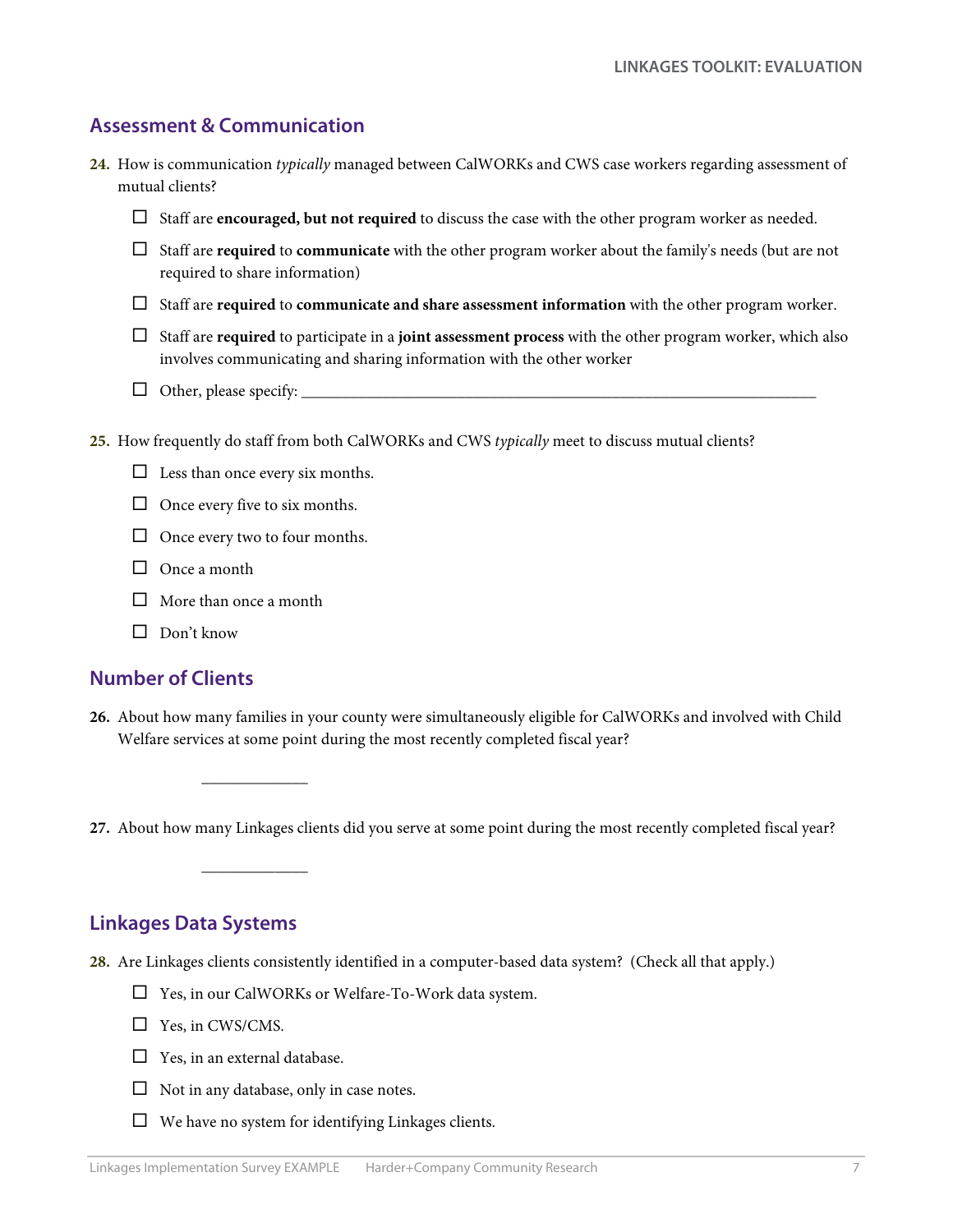# **Assessment & Communication**

- **24.** How is communication *typically* managed between CalWORKs and CWS case workers regarding assessment of mutual clients?
	- Staff are **encouraged, but not required** to discuss the case with the other program worker as needed.
	- Staff are **required** to **communicate** with the other program worker about the family's needs (but are not required to share information)
	- Staff are **required** to **communicate and share assessment information** with the other program worker.
	- Staff are **required** to participate in a **joint assessment process** with the other program worker, which also involves communicating and sharing information with the other worker
	- Other, please specify: \_\_\_\_\_\_\_\_\_\_\_\_\_\_\_\_\_\_\_\_\_\_\_\_\_\_\_\_\_\_\_\_\_\_\_\_\_\_\_\_\_\_\_\_\_\_\_\_\_\_\_\_\_\_\_\_\_\_\_\_\_\_\_
- **25.** How frequently do staff from both CalWORKs and CWS *typically* meet to discuss mutual clients?
	- $\Box$  Less than once every six months.
	- $\Box$  Once every five to six months.
	- $\Box$  Once every two to four months.

\_\_\_\_\_\_\_\_\_\_\_\_\_

\_\_\_\_\_\_\_\_\_\_\_\_\_

- □ Once a month
- $\Box$  More than once a month
- $\Box$  Don't know

# **Number of Clients**

**26.** About how many families in your county were simultaneously eligible for CalWORKs and involved with Child Welfare services at some point during the most recently completed fiscal year?

**27.** About how many Linkages clients did you serve at some point during the most recently completed fiscal year?

# **Linkages Data Systems**

- **28.** Are Linkages clients consistently identified in a computer-based data system? (Check all that apply.)
	- $\Box$  Yes, in our CalWORKs or Welfare-To-Work data system.
	- $\Box$  Yes, in CWS/CMS.
	- $\Box$  Yes, in an external database.
	- $\Box$  Not in any database, only in case notes.
	- $\Box$  We have no system for identifying Linkages clients.